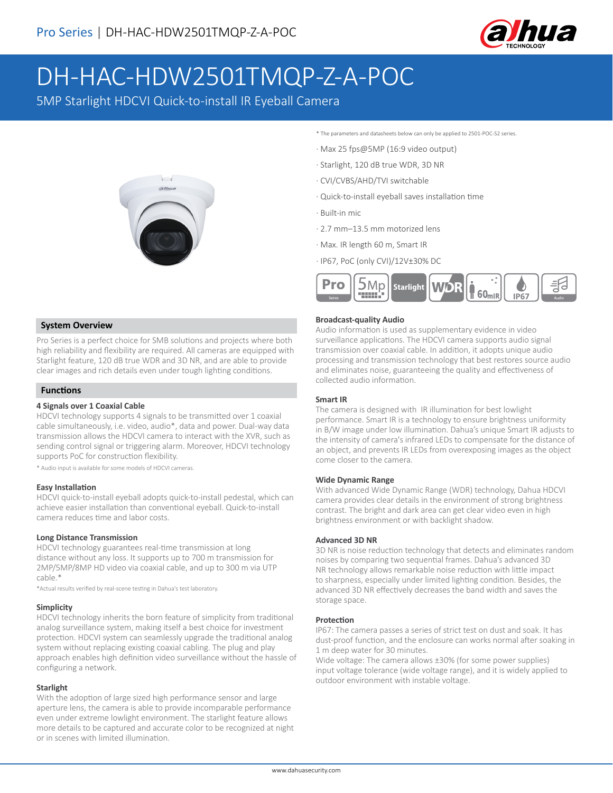

# DH-HAC-HDW2501TMQP-Z-A-POC

5MP Starlight HDCVI Quick-to-install IR Eyeball Camera



## **System Overview**

Pro Series is a perfect choice for SMB solutions and projects where both high reliability and flexibility are required. All cameras are equipped with Starlight feature, 120 dB true WDR and 3D NR, and are able to provide clear images and rich details even under tough lighting conditions.

## **Functions**

# **4 Signals over 1 Coaxial Cable**

HDCVI technology supports 4 signals to be transmitted over 1 coaxial cable simultaneously, i.e. video, audio\*, data and power. Dual-way data transmission allows the HDCVI camera to interact with the XVR, such as sending control signal or triggering alarm. Moreover, HDCVI technology supports PoC for construction flexibility.

\* Audio input is available for some models of HDCVI cameras.

#### **Easy Installation**

HDCVI quick-to-install eyeball adopts quick-to-install pedestal, which can achieve easier installation than conventional eyeball. Quick-to-install camera reduces time and labor costs.

#### **Long Distance Transmission**

HDCVI technology guarantees real-time transmission at long distance without any loss. It supports up to 700 m transmission for 2MP/5MP/8MP HD video via coaxial cable, and up to 300 m via UTP cable.\*

\*Actual results verified by real-scene testing in Dahua's test laboratory.

#### **Simplicity**

HDCVI technology inherits the born feature of simplicity from traditional analog surveillance system, making itself a best choice for investment protection. HDCVI system can seamlessly upgrade the traditional analog system without replacing existing coaxial cabling. The plug and play approach enables high definition video surveillance without the hassle of configuring a network.

#### **Starlight**

With the adoption of large sized high performance sensor and large aperture lens, the camera is able to provide incomparable performance even under extreme lowlight environment. The starlight feature allows more details to be captured and accurate color to be recognized at night or in scenes with limited illumination.

- \* The parameters and datasheets below can only be applied to 2501-POC-S2 series.
- · Max 25 fps@5MP (16:9 video output)
- · Starlight, 120 dB true WDR, 3D NR
- · CVI/CVBS/AHD/TVI switchable
- · Quick-to-install eyeball saves installation time
- · Built-in mic
- · 2.7 mm–13.5 mm motorized lens
- · Max. IR length 60 m, Smart IR
- · IP67, PoC (only CVI)/12V±30% DC



#### **Broadcast-quality Audio**

Audio information is used as supplementary evidence in video surveillance applications. The HDCVI camera supports audio signal transmission over coaxial cable. In addition, it adopts unique audio processing and transmission technology that best restores source audio and eliminates noise, guaranteeing the quality and effectiveness of collected audio information.

#### **Smart IR**

The camera is designed with IR illumination for best lowlight performance. Smart IR is a technology to ensure brightness uniformity in B/W image under low illumination. Dahua's unique Smart IR adjusts to the intensity of camera's infrared LEDs to compensate for the distance of an object, and prevents IR LEDs from overexposing images as the object come closer to the camera.

#### **Wide Dynamic Range**

With advanced Wide Dynamic Range (WDR) technology, Dahua HDCVI camera provides clear details in the environment of strong brightness contrast. The bright and dark area can get clear video even in high brightness environment or with backlight shadow.

#### **Advanced 3D NR**

3D NR is noise reduction technology that detects and eliminates random noises by comparing two sequential frames. Dahua's advanced 3D NR technology allows remarkable noise reduction with little impact to sharpness, especially under limited lighting condition. Besides, the advanced 3D NR effectively decreases the band width and saves the storage space.

#### **Protection**

IP67: The camera passes a series of strict test on dust and soak. It has dust-proof function, and the enclosure can works normal after soaking in 1 m deep water for 30 minutes.

Wide voltage: The camera allows ±30% (for some power supplies) input voltage tolerance (wide voltage range), and it is widely applied to outdoor environment with instable voltage.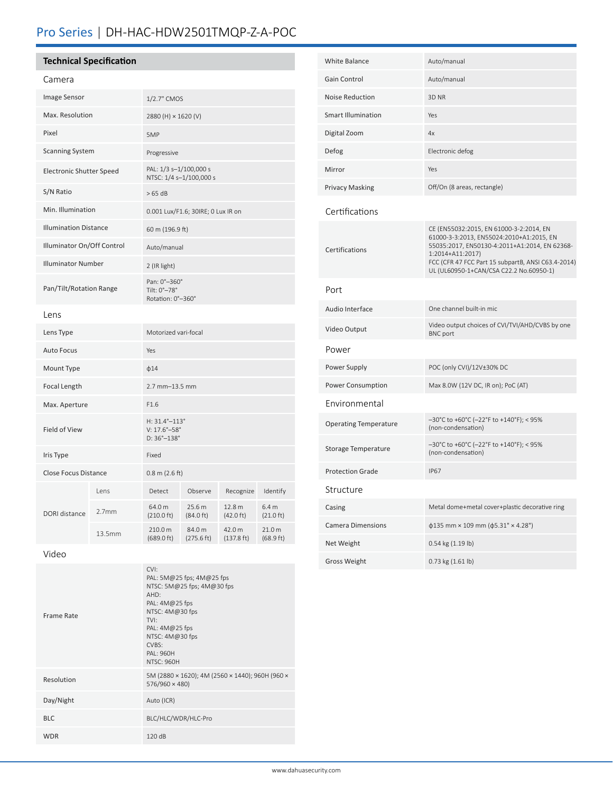# Pro Series | DH-HAC-HDW2501TMQP-Z-A-POC

# **Technical Specification**

# Camera

| Image Sensor                    |                   | 1/2.7" CMOS                                                                   |                               |                                |                                         |
|---------------------------------|-------------------|-------------------------------------------------------------------------------|-------------------------------|--------------------------------|-----------------------------------------|
| Max. Resolution                 |                   | 2880 (H) × 1620 (V)                                                           |                               |                                |                                         |
| Pixel                           |                   | 5MP                                                                           |                               |                                |                                         |
| <b>Scanning System</b>          |                   | Progressive                                                                   |                               |                                |                                         |
| <b>Electronic Shutter Speed</b> |                   | PAL: 1/3 s-1/100,000 s<br>NTSC: 1/4 s-1/100,000 s                             |                               |                                |                                         |
| S/N Ratio                       |                   | >65 dB                                                                        |                               |                                |                                         |
| Min. Illumination               |                   | 0.001 Lux/F1.6; 30IRE; 0 Lux IR on                                            |                               |                                |                                         |
| <b>Illumination Distance</b>    |                   | 60 m (196.9 ft)                                                               |                               |                                |                                         |
| Illuminator On/Off Control      |                   | Auto/manual                                                                   |                               |                                |                                         |
| <b>Illuminator Number</b>       |                   | 2 (IR light)                                                                  |                               |                                |                                         |
| Pan/Tilt/Rotation Range         |                   | Pan: 0°-360°<br>Tilt: 0°-78°<br>Rotation: 0°-360°                             |                               |                                |                                         |
| Lens                            |                   |                                                                               |                               |                                |                                         |
| Lens Type                       |                   | Motorized vari-focal                                                          |                               |                                |                                         |
| <b>Auto Focus</b>               |                   | Yes                                                                           |                               |                                |                                         |
| Mount Type                      |                   | $\phi$ 14                                                                     |                               |                                |                                         |
| Focal Length                    |                   | $2.7$ mm $-13.5$ mm                                                           |                               |                                |                                         |
| Max. Aperture                   |                   | F1.6                                                                          |                               |                                |                                         |
| Field of View                   |                   | H: 31.4°-113°<br>$V: 17.6^{\circ} - 58^{\circ}$<br>$D:36^{\circ}-138^{\circ}$ |                               |                                |                                         |
| Iris Type                       |                   | Fixed                                                                         |                               |                                |                                         |
| <b>Close Focus Distance</b>     |                   | $0.8 \text{ m}$ (2.6 ft)                                                      |                               |                                |                                         |
| DORI distance                   | Lens              | Detect                                                                        | Observe                       | Recognize                      | Identify                                |
|                                 | 2.7 <sub>mm</sub> | 64.0 m<br>$(210.0 \text{ ft})$                                                | 25.6 m<br>$(84.0 \text{ ft})$ | 12.8 m<br>$(42.0 \text{ ft})$  | 6.4 <sub>m</sub><br>$(21.0 \text{ ft})$ |
|                                 | 13.5mm            | 210.0 m<br>(689.0 ft)                                                         | 84.0 m<br>(275.6 ft)          | 42.0 m<br>$(137.8 \text{ ft})$ | 21.0 m<br>(68.9 ft)                     |

Video

| Frame Rate | CVI:<br>PAL: 5M@25 fps; 4M@25 fps<br>NTSC: 5M@25 fps; 4M@30 fps<br>AHD:<br>PAL: 4M@25 fps<br>NTSC: 4M@30 fps<br>TVI:<br>PAL: $4M@25$ fps<br>NTSC: 4M@30 fps<br>CVBS:<br>PAI: 960H<br><b>NTSC: 960H</b> |
|------------|--------------------------------------------------------------------------------------------------------------------------------------------------------------------------------------------------------|
| Resolution | 5M (2880 × 1620); 4M (2560 × 1440); 960H (960 ×<br>576/960 × 480)                                                                                                                                      |
| Day/Night  | Auto (ICR)                                                                                                                                                                                             |
| <b>BLC</b> | BLC/HLC/WDR/HLC-Pro                                                                                                                                                                                    |
| <b>WDR</b> | 120dB                                                                                                                                                                                                  |

| <b>White Balance</b>         | Auto/manual                                                                                                                                                                                                                                               |  |  |  |  |
|------------------------------|-----------------------------------------------------------------------------------------------------------------------------------------------------------------------------------------------------------------------------------------------------------|--|--|--|--|
| Gain Control                 | Auto/manual                                                                                                                                                                                                                                               |  |  |  |  |
| <b>Noise Reduction</b>       | 3D <sub>NR</sub>                                                                                                                                                                                                                                          |  |  |  |  |
| <b>Smart Illumination</b>    | Yes                                                                                                                                                                                                                                                       |  |  |  |  |
| Digital Zoom                 | 4x                                                                                                                                                                                                                                                        |  |  |  |  |
| Defog                        | Electronic defog                                                                                                                                                                                                                                          |  |  |  |  |
| Mirror                       | Yes                                                                                                                                                                                                                                                       |  |  |  |  |
| Privacy Masking              | Off/On (8 areas, rectangle)                                                                                                                                                                                                                               |  |  |  |  |
| Certifications               |                                                                                                                                                                                                                                                           |  |  |  |  |
| Certifications               | CE (EN55032:2015, EN 61000-3-2:2014, EN<br>61000-3-3:2013, EN55024:2010+A1:2015, EN<br>55035:2017, EN50130-4:2011+A1:2014, EN 62368-<br>1:2014+A11:2017)<br>FCC (CFR 47 FCC Part 15 subpartB, ANSI C63.4-2014)<br>UL (UL60950-1+CAN/CSA C22.2 No.60950-1) |  |  |  |  |
| Port                         |                                                                                                                                                                                                                                                           |  |  |  |  |
| Audio Interface              | One channel built-in mic                                                                                                                                                                                                                                  |  |  |  |  |
| Video Output                 | Video output choices of CVI/TVI/AHD/CVBS by one<br><b>BNC</b> port                                                                                                                                                                                        |  |  |  |  |
| Power                        |                                                                                                                                                                                                                                                           |  |  |  |  |
| Power Supply                 | POC (only CVI)/12V±30% DC                                                                                                                                                                                                                                 |  |  |  |  |
| Power Consumption            | Max 8.0W (12V DC, IR on); PoC (AT)                                                                                                                                                                                                                        |  |  |  |  |
| Environmental                |                                                                                                                                                                                                                                                           |  |  |  |  |
| <b>Operating Temperature</b> | -30°C to +60°C (-22°F to +140°F); < 95%<br>(non-condensation)                                                                                                                                                                                             |  |  |  |  |
| Storage Temperature          | -30°C to +60°C (-22°F to +140°F); < 95%<br>(non-condensation)                                                                                                                                                                                             |  |  |  |  |
| <b>Protection Grade</b>      | <b>IP67</b>                                                                                                                                                                                                                                               |  |  |  |  |
| Structure                    |                                                                                                                                                                                                                                                           |  |  |  |  |
| Casing                       | Metal dome+metal cover+plastic decorative ring                                                                                                                                                                                                            |  |  |  |  |
| <b>Camera Dimensions</b>     | $\phi$ 135 mm × 109 mm ( $\phi$ 5.31" × 4.28")                                                                                                                                                                                                            |  |  |  |  |
| Net Weight                   | 0.54 kg (1.19 lb)                                                                                                                                                                                                                                         |  |  |  |  |
| <b>Gross Weight</b>          | 0.73 kg (1.61 lb)                                                                                                                                                                                                                                         |  |  |  |  |